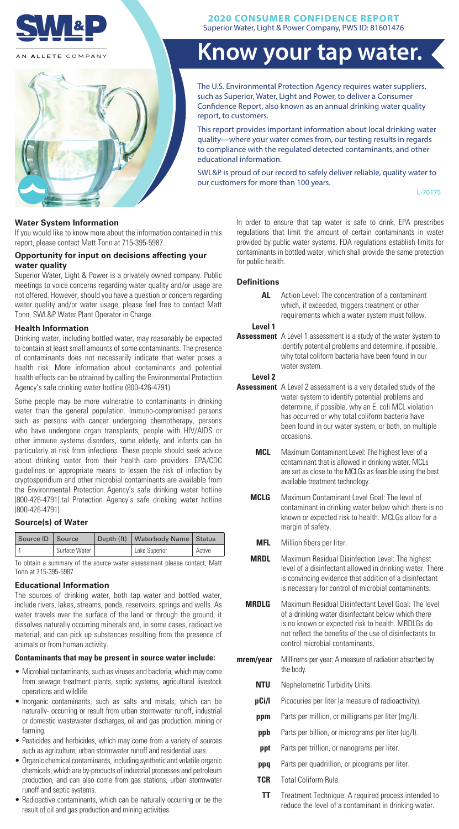

AN ALLETE COMPANY



# **2020 CONSUMER CONFIDENCE REPORT**

Superior Water, Light & Power Company, PWS ID: 81601476

# **Know your tap water.**

The U.S. Environmental Protection Agency requires water suppliers, such as Superior, Water, Light and Power, to deliver a Consumer Confidence Report, also known as an annual drinking water quality report, to customers.

This report provides important information about local drinking water quality—where your water comes from, our testing results in regards to compliance with the regulated detected contaminants, and other educational information.

SWL&P is proud of our record to safely deliver reliable, quality water to our customers for more than 100 years.

L-70175

# **Water System Information**

If you would like to know more about the information contained in this report, please contact Matt Tonn at 715-395-5987.

### **Opportunity for input on decisions affecting your water quality**

Superior Water, Light & Power is a privately owned company. Public meetings to voice concerns regarding water quality and/or usage are not offered. However, should you have a question or concern regarding water quality and/or water usage, please feel free to contact Matt Tonn, SWL&P Water Plant Operator in Charge.

#### **Health Information**

Drinking water, including bottled water, may reasonably be expected to contain at least small amounts of some contaminants. The presence of contaminants does not necessarily indicate that water poses a health risk. More information about contaminants and potential health effects can be obtained by calling the Environmental Protection Agency's safe drinking water hotline (800-426-4791).

Some people may be more vulnerable to contaminants in drinking water than the general population. Immuno-compromised persons such as persons with cancer undergoing chemotherapy, persons who have undergone organ transplants, people with HIV/AIDS or other immune systems disorders, some elderly, and infants can be particularly at risk from infections. These people should seek advice about drinking water from their health care providers. EPA/CDC guidelines on appropriate means to lessen the risk of infection by cryptosporidium and other microbial contaminants are available from the Environmental Protection Agency's safe drinking water hotline (800-426-4791).tal Protection Agency's safe drinking water hotline (800-426-4791).

# **Source(s) of Water**

| Source ID   Source |               | Depth (ft)   Waterbody Name   Status |          |
|--------------------|---------------|--------------------------------------|----------|
|                    | Surface Water | Lake Superior                        | ' Active |

To obtain a summary of the source water assessment please contact, Matt Tonn at 715-395-5987.

#### **Educational Information**

The sources of drinking water, both tap water and bottled water, include rivers, lakes, streams, ponds, reservoirs, springs and wells. As water travels over the surface of the land or through the ground, it dissolves naturally occurring minerals and, in some cases, radioactive material, and can pick up substances resulting from the presence of animals or from human activity.

# **Contaminants that may be present in source water include:**

- Microbial contaminants, such as viruses and bacteria, which may come from sewage treatment plants, septic systems, agricultural livestock operations and wildlife.
- Inorganic contaminants, such as salts and metals, which can be naturally- occurring or result from urban stormwater runoff, industrial or domestic wastewater discharges, oil and gas production, mining or farming.
- Pesticides and herbicides, which may come from a variety of sources such as agriculture, urban stormwater runoff and residential uses.
- Organic chemical contaminants, including synthetic and volatile organic chemicals, which are by-products of industrial processes and petroleum production, and can also come from gas stations, urban stormwater runoff and septic systems.
- Radioactive contaminants, which can be naturally occurring or be the result of oil and gas production and mining activities.

In order to ensure that tap water is safe to drink, EPA prescribes regulations that limit the amount of certain contaminants in water provided by public water systems. FDA regulations establish limits for contaminants in bottled water, which shall provide the same protection for public health.

#### **Definitions**

| AL      | Action Level: The concentration of a contaminant |  |  |  |  |  |  |  |  |  |
|---------|--------------------------------------------------|--|--|--|--|--|--|--|--|--|
|         | which, if exceeded, triggers treatment or other  |  |  |  |  |  |  |  |  |  |
|         | requirements which a water system must follow.   |  |  |  |  |  |  |  |  |  |
| Level 1 |                                                  |  |  |  |  |  |  |  |  |  |
|         |                                                  |  |  |  |  |  |  |  |  |  |

Assessment A Level 1 assessment is a study of the water system to identify potential problems and determine, if possible, why total coliform bacteria have been found in our water system.

**Level 2** 

- **Assessment** A Level 2 assessment is a very detailed study of the water system to identify potential problems and determine, if possible, why an E. coli MCL violation has occurred or why total coliform bacteria have been found in our water system, or both, on multiple occasions.
	- **MCL** Maximum Contaminant Level: The highest level of a contaminant that is allowed in drinking water. MCLs are set as close to the MCLGs as feasible using the best available treatment technology.
	- **MCLG** Maximum Contaminant Level Goal: The level of contaminant in drinking water below which there is no known or expected risk to health. MCLGs allow for a margin of safety.
		- **MFL** Million fibers per liter.
	- **MRDL** Maximum Residual Disinfection Level: The highest level of a disinfectant allowed in drinking water. There is convincing evidence that addition of a disinfectant is necessary for control of microbial contaminants.
	- **MRDLG** Maximum Residual Disinfectant Level Goal: The level of a drinking water disinfectant below which there is no known or expected risk to health. MRDLGs do not reflect the benefits of the use of disinfectants to control microbial contaminants.
- **mrem/year** Millirems per year: A measure of radiation absorbed by the body.
	- **NTU** Nephelometric Turbidity Units.
	- **pCi/l** Picocuries per liter (a measure of radioactivity).
	- **ppm** Parts per million, or milligrams per liter (mg/l).
	- **ppb** Parts per billion, or micrograms per liter (ug/l).
	- **ppt** Parts per trillion, or nanograms per liter.
	- **ppq** Parts per quadrillion, or picograms per liter.
	- **TCR** Total Coliform Rule.
	- **TT** Treatment Technique: A required process intended to reduce the level of a contaminant in drinking water.